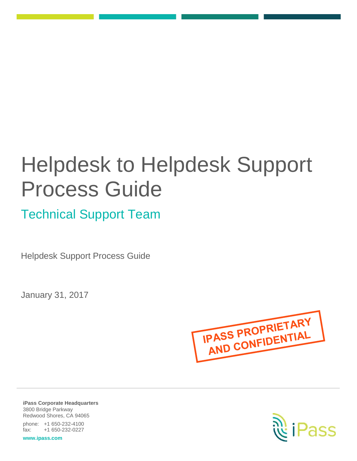# Helpdesk to Helpdesk Support Process Guide

Technical Support Team

Helpdesk Support Process Guide

January 31, 2017



**iPass Corporate Headquarters** 3800 Bridge Parkway Redwood Shores, CA 94065 phone: +1 650-232-4100 fax: +1 650-232-0227

**www.ipass.com**

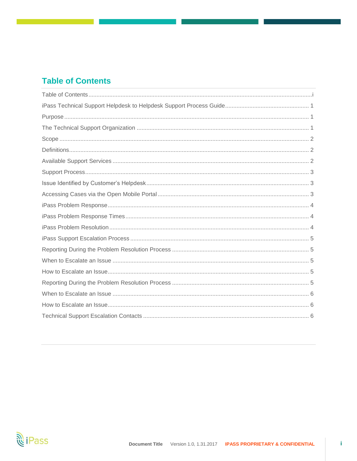# <span id="page-1-0"></span>**Table of Contents**

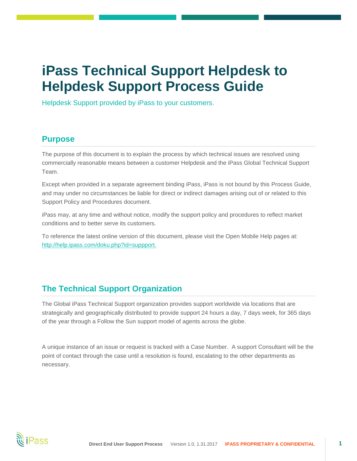# <span id="page-2-0"></span>**iPass Technical Support Helpdesk to Helpdesk Support Process Guide**

Helpdesk Support provided by iPass to your customers.

#### <span id="page-2-1"></span>**Purpose**

The purpose of this document is to explain the process by which technical issues are resolved using commercially reasonable means between a customer Helpdesk and the iPass Global Technical Support Team.

Except when provided in a separate agreement binding iPass, iPass is not bound by this Process Guide, and may under no circumstances be liable for direct or indirect damages arising out of or related to this Support Policy and Procedures document.

iPass may, at any time and without notice, modify the support policy and procedures to reflect market conditions and to better serve its customers.

To reference the latest online version of this document, please visit the Open Mobile Help pages at: [http://help.ipass.com/doku.php?id=suppport.](http://help.ipass.com/doku.php?id=suppport)

# <span id="page-2-2"></span>**The Technical Support Organization**

The Global iPass Technical Support organization provides support worldwide via locations that are strategically and geographically distributed to provide support 24 hours a day, 7 days week, for 365 days of the year through a Follow the Sun support model of agents across the globe.

<span id="page-2-3"></span>A unique instance of an issue or request is tracked with a Case Number. A support Consultant will be the point of contact through the case until a resolution is found, escalating to the other departments as necessary.

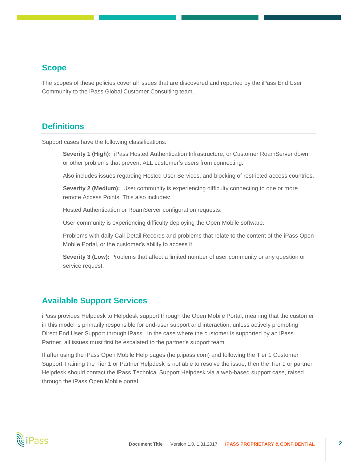#### **Scope**

The scopes of these policies cover all issues that are discovered and reported by the iPass End User Community to the iPass Global Customer Consulting team.

#### <span id="page-3-0"></span>**Definitions**

Support cases have the following classifications:

**Severity 1 (High):** iPass Hosted Authentication Infrastructure, or Customer RoamServer down, or other problems that prevent ALL customer's users from connecting.

Also includes issues regarding Hosted User Services, and blocking of restricted access countries.

**Severity 2 (Medium):** User community is experiencing difficulty connecting to one or more remote Access Points. This also includes:

Hosted Authentication or RoamServer configuration requests.

User community is experiencing difficulty deploying the Open Mobile software.

Problems with daily Call Detail Records and problems that relate to the content of the iPass Open Mobile Portal, or the customer's ability to access it.

**Severity 3 (Low):** Problems that affect a limited number of user community or any question or service request.

## <span id="page-3-1"></span>**Available Support Services**

iPass provides Helpdesk to Helpdesk support through the Open Mobile Portal, meaning that the customer in this model is primarily responsible for end-user support and interaction, unless actively promoting Direct End User Support through iPass. In the case where the customer is supported by an iPass Partner, all issues must first be escalated to the partner's support team.

If after using the iPass Open Mobile Help pages (help.ipass.com) and following the Tier 1 Customer Support Training the Tier 1 or Partner Helpdesk is not able to resolve the issue, then the Tier 1 or partner Helpdesk should contact the iPass Technical Support Helpdesk via a web-based support case, raised through the iPass Open Mobile portal.

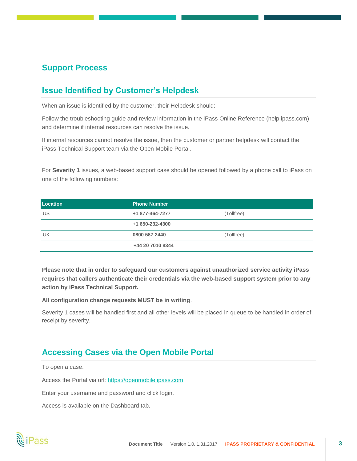# <span id="page-4-0"></span>**Support Process**

# <span id="page-4-1"></span>**Issue Identified by Customer's Helpdesk**

When an issue is identified by the customer, their Helpdesk should:

Follow the troubleshooting guide and review information in the iPass Online Reference (help.ipass.com) and determine if internal resources can resolve the issue.

If internal resources cannot resolve the issue, then the customer or partner helpdesk will contact the iPass Technical Support team via the Open Mobile Portal.

For **Severity 1** issues, a web-based support case should be opened followed by a phone call to iPass on one of the following numbers:

| Location | <b>Phone Number</b> |            |
|----------|---------------------|------------|
| US       | +1 877-464-7277     | (Tollfree) |
|          | +1 650-232-4300     |            |
| UK       | 0800 587 2440       | (Tollfree) |
|          | +44 20 7010 8344    |            |

**Please note that in order to safeguard our customers against unauthorized service activity iPass requires that callers authenticate their credentials via the web-based support system prior to any action by iPass Technical Support.**

**All configuration change requests MUST be in writing**.

<span id="page-4-2"></span>Severity 1 cases will be handled first and all other levels will be placed in queue to be handled in order of receipt by severity.

#### **Accessing Cases via the Open Mobile Portal**

To open a case:

Access the Portal via url: https://openmobile.ipass.com

Enter your username and password and click login.

Access is available on the Dashboard tab.

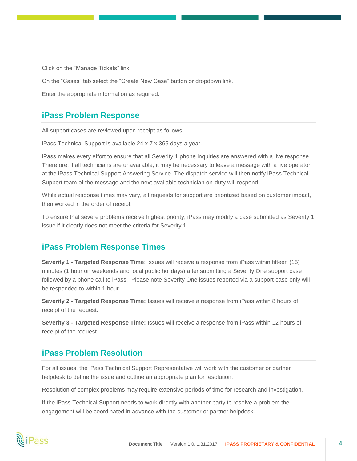Click on the "Manage Tickets" link.

On the "Cases" tab select the "Create New Case" button or dropdown link.

<span id="page-5-0"></span>Enter the appropriate information as required.

#### **iPass Problem Response**

All support cases are reviewed upon receipt as follows:

iPass Technical Support is available 24 x 7 x 365 days a year.

iPass makes every effort to ensure that all Severity 1 phone inquiries are answered with a live response. Therefore, if all technicians are unavailable, it may be necessary to leave a message with a live operator at the iPass Technical Support Answering Service. The dispatch service will then notify iPass Technical Support team of the message and the next available technician on-duty will respond.

While actual response times may vary, all requests for support are prioritized based on customer impact, then worked in the order of receipt.

To ensure that severe problems receive highest priority, iPass may modify a case submitted as Severity 1 issue if it clearly does not meet the criteria for Severity 1.

#### <span id="page-5-1"></span>**iPass Problem Response Times**

**Severity 1 - Targeted Response Time**: Issues will receive a response from iPass within fifteen (15) minutes (1 hour on weekends and local public holidays) after submitting a Severity One support case followed by a phone call to iPass. Please note Severity One issues reported via a support case only will be responded to within 1 hour.

**Severity 2 - Targeted Response Time:** Issues will receive a response from iPass within 8 hours of receipt of the request.

**Severity 3 - Targeted Response Time:** Issues will receive a response from iPass within 12 hours of receipt of the request.

#### <span id="page-5-2"></span>**iPass Problem Resolution**

For all issues, the iPass Technical Support Representative will work with the customer or partner helpdesk to define the issue and outline an appropriate plan for resolution.

Resolution of complex problems may require extensive periods of time for research and investigation.

<span id="page-5-3"></span>If the iPass Technical Support needs to work directly with another party to resolve a problem the engagement will be coordinated in advance with the customer or partner helpdesk.

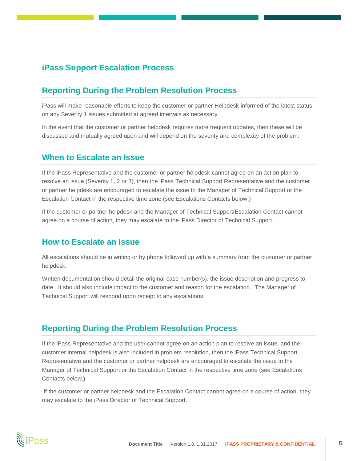## **iPass Support Escalation Process**

#### <span id="page-6-0"></span>**Reporting During the Problem Resolution Process**

iPass will make reasonable efforts to keep the customer or partner Helpdesk informed of the latest status on any Severity 1 issues submitted at agreed intervals as necessary.

In the event that the customer or partner helpdesk requires more frequent updates, then these will be discussed and mutually agreed upon and will depend on the severity and complexity of the problem.

#### <span id="page-6-1"></span>**When to Escalate an Issue**

If the iPass Representative and the customer or partner helpdesk cannot agree on an action plan to resolve an issue (Severity 1, 2 or 3), then the iPass Technical Support Representative and the customer or partner helpdesk are encouraged to escalate the issue to the Manager of Technical Support or the Escalation Contact in the respective time zone (see Escalations Contacts below.)

If the customer or partner helpdesk and the Manager of Technical Support/Escalation Contact cannot agree on a course of action, they may escalate to the iPass Director of Technical Support.

#### <span id="page-6-2"></span>**How to Escalate an Issue**

All escalations should be in writing or by phone followed up with a summary from the customer or partner helpdesk.

Written documentation should detail the original case number(s), the issue description and progress to date. It should also include impact to the customer and reason for the escalation. The Manager of Technical Support will respond upon receipt to any escalations.

#### <span id="page-6-3"></span>**Reporting During the Problem Resolution Process**

If the iPass Representative and the user cannot agree on an action plan to resolve an issue, and the customer internal helpdesk is also included in problem resolution, then the iPass Technical Support Representative and the customer or partner helpdesk are encouraged to escalate the issue to the Manager of Technical Support or the Escalation Contact in the respective time zone (see Escalations Contacts below.)

If the customer or partner helpdesk and the Escalation Contact cannot agree on a course of action, they may escalate to the iPass Director of Technical Support.